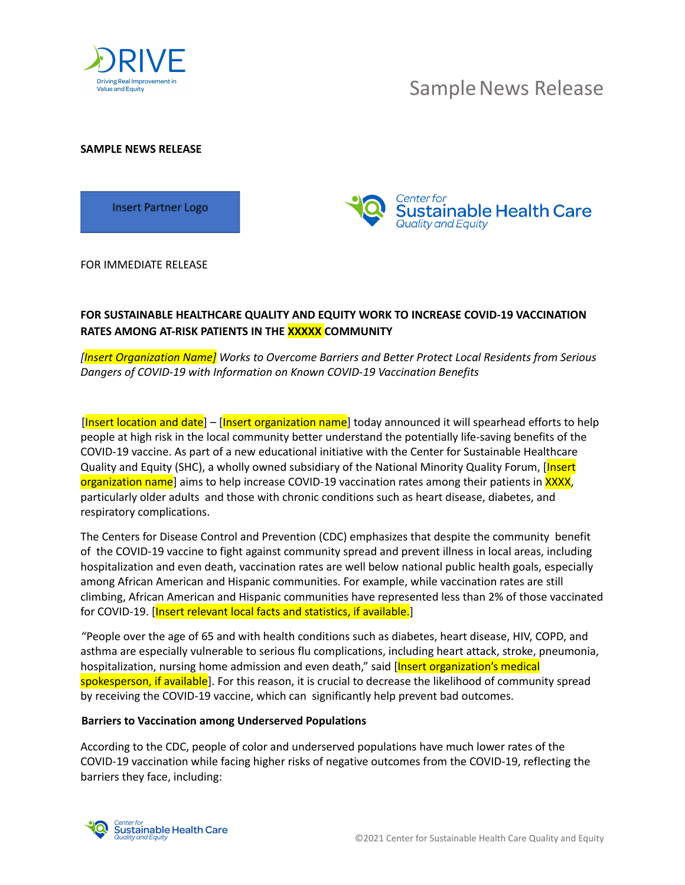

# Sample News Release

**SAMPLE NEWS RELEASE**

**Insert Partner Logo** 



FOR IMMEDIATE RELEASE

## **FOR SUSTAINABLE HEALTHCARE QUALITY AND EQUITY WORK TO INCREASE COVID-19 VACCINATION RATES AMONG AT-RISK PATIENTS IN THE XXXXX COMMUNITY**

*[Insert Organization Name] Works to Overcome Barriers and Better Protect Local Residents from Serious Dangers of COVID-19 with Information on Known COVID-19 Vaccination Benefits*

[Insert location and date] – [Insert organization name] today announced it will spearhead efforts to help people at high risk in the local community better understand the potentially life-saving benefits of the COVID-19 vaccine. As part of a new educational initiative with the Center for Sustainable Healthcare Quality and Equity (SHC), a wholly owned subsidiary of the National Minority Quality Forum, [Insert organization name] aims to help increase COVID-19 vaccination rates among their patients in XXXX, particularly older adults and those with chronic conditions such as heart disease, diabetes, and respiratory complications.

The Centers for Disease Control and Prevention (CDC) emphasizes that despite the community benefit of the COVID-19 vaccine to fight against community spread and prevent illness in local areas, including hospitalization and even death, vaccination rates are well below national public health goals, especially among African American and Hispanic communities. For example, while vaccination rates are still climbing, African American and Hispanic communities have represented less than 2% of those vaccinated for COVID-19. [Insert relevant local facts and statistics, if available.]

"People over the age of 65 and with health conditions such as diabetes, heart disease, HIV, COPD, and asthma are especially vulnerable to serious flu complications, including heart attack, stroke, pneumonia, hospitalization, nursing home admission and even death," said [Insert organization's medical spokesperson, if available]. For this reason, it is crucial to decrease the likelihood of community spread by receiving the COVID-19 vaccine, which can significantly help prevent bad outcomes.

#### **Barriers to Vaccination among Underserved Populations**

According to the CDC, people of color and underserved populations have much lower rates of the COVID-19 vaccination while facing higher risks of negative outcomes from the COVID-19, reflecting the barriers they face, including:

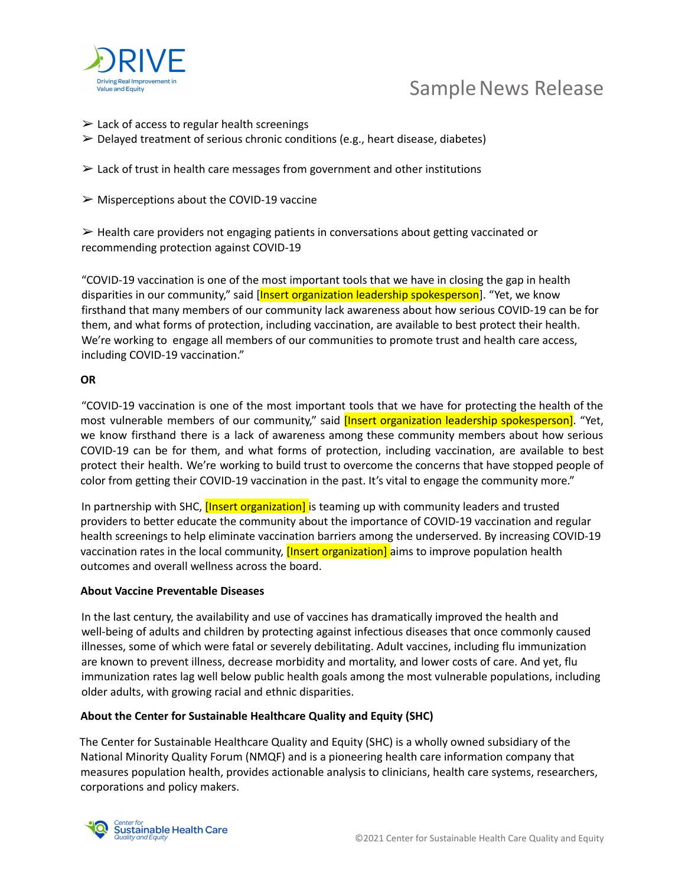

## Sample News Release

- $\geq$  Lack of access to regular health screenings
- $\triangleright$  Delayed treatment of serious chronic conditions (e.g., heart disease, diabetes)
- $\geq$  Lack of trust in health care messages from government and other institutions
- $\triangleright$  Misperceptions about the COVID-19 vaccine

 $\triangleright$  Health care providers not engaging patients in conversations about getting vaccinated or recommending protection against COVID-19

"COVID-19 vaccination is one of the most important tools that we have in closing the gap in health disparities in our community," said [Insert organization leadership spokesperson]. "Yet, we know firsthand that many members of our community lack awareness about how serious COVID-19 can be for them, and what forms of protection, including vaccination, are available to best protect their health. We're working to engage all members of our communities to promote trust and health care access, including COVID-19 vaccination."

#### **OR**

"COVID-19 vaccination is one of the most important tools that we have for protecting the health of the most vulnerable members of our community," said *[Insert organization leadership spokesperson]*. "Yet, we know firsthand there is a lack of awareness among these community members about how serious COVID-19 can be for them, and what forms of protection, including vaccination, are available to best protect their health. We're working to build trust to overcome the concerns that have stopped people of color from getting their COVID-19 vaccination in the past. It's vital to engage the community more."

In partnership with SHC, *[Insert organization]* is teaming up with community leaders and trusted providers to better educate the community about the importance of COVID-19 vaccination and regular health screenings to help eliminate vaccination barriers among the underserved. By increasing COVID-19 vaccination rates in the local community, *[Insert organization]* aims to improve population health outcomes and overall wellness across the board.

### **About Vaccine Preventable Diseases**

In the last century, the availability and use of vaccines has dramatically improved the health and well-being of adults and children by protecting against infectious diseases that once commonly caused illnesses, some of which were fatal or severely debilitating. Adult vaccines, including flu immunization are known to prevent illness, decrease morbidity and mortality, and lower costs of care. And yet, flu immunization rates lag well below public health goals among the most vulnerable populations, including older adults, with growing racial and ethnic disparities.

### **About the Center for Sustainable Healthcare Quality and Equity (SHC)**

The Center for Sustainable Healthcare Quality and Equity (SHC) is a wholly owned subsidiary of the National Minority Quality Forum (NMQF) and is a pioneering health care information company that measures population health, provides actionable analysis to clinicians, health care systems, researchers, corporations and policy makers.